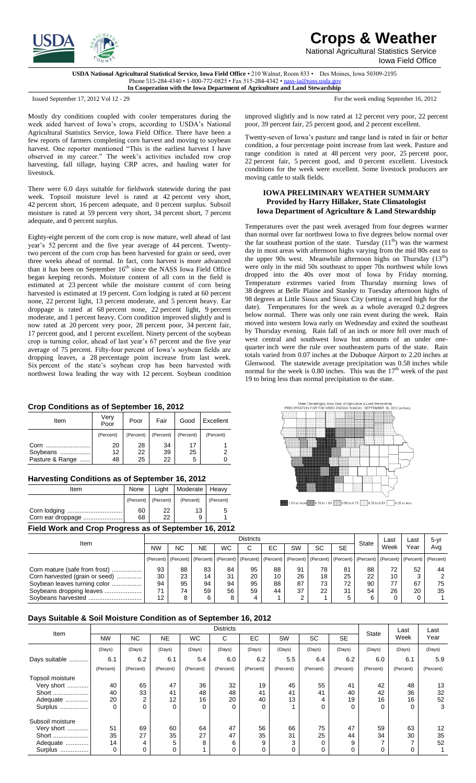

**Crops & Weather**

National Agricultural Statistics Service Iowa Field Office

**USDA National Agricultural Statistical Service, Iowa Field Office** • 210 Walnut, Room 833 • Des Moines, Iowa 50309-2195 Phone 515-284-4340 • 1-800-772-0825 • Fax 515-284-4342 • nass-ia@nass.usd **In Cooperation with the Iowa Department of Agriculture and Land Stewardship**

Issued September 17, 2012 Vol 12 - 29 For the week ending September 16, 2012

Mostly dry conditions coupled with cooler temperatures during the week aided harvest of Iowa's crops, according to USDA's National Agricultural Statistics Service, Iowa Field Office. There have been a few reports of farmers completing corn harvest and moving to soybean harvest. One reporter mentioned "This is the earliest harvest I have observed in my career." The week's activities included row crop harvesting, fall tillage, haying CRP acres, and hauling water for livestock.

There were 6.0 days suitable for fieldwork statewide during the past week. Topsoil moisture level is rated at 42 percent very short, percent short, 16 percent adequate, and 0 percent surplus. Subsoil moisture is rated at 59 percent very short, 34 percent short, 7 percent adequate, and 0 percent surplus.

Eighty-eight percent of the corn crop is now mature, well ahead of last year's 52 percent and the five year average of 44 percent. Twentytwo percent of the corn crop has been harvested for grain or seed, over three weeks ahead of normal. In fact, corn harvest is more advanced than it has been on September 16<sup>th</sup> since the NASS Iowa Field Office began keeping records. Moisture content of all corn in the field is estimated at 23 percent while the moisture content of corn being harvested is estimated at 19 percent. Corn lodging is rated at 60 percent none, 22 percent light, 13 percent moderate, and 5 percent heavy. Ear droppage is rated at 68 percent none, 22 percent light, 9 percent moderate, and 1 percent heavy. Corn condition improved slightly and is now rated at 20 percent very poor, 28 percent poor, 34 percent fair, percent good, and 1 percent excellent. Ninety percent of the soybean crop is turning color, ahead of last year's 67 percent and the five year average of 75 percent. Fifty-four percent of Iowa's soybean fields are dropping leaves, a 28 percentage point increase from last week. Six percent of the state's soybean crop has been harvested with northwest Iowa leading the way with 12 percent. Soybean condition

## **Crop Conditions as of September 16, 2012**

| Item            | Verv<br>Poor | Poor      | Fair      | Good      | Excellent |  |
|-----------------|--------------|-----------|-----------|-----------|-----------|--|
|                 | (Percent)    | (Percent) | (Percent) | (Percent) | (Percent) |  |
| Corn            | 20           | 28        | 34        | 17        |           |  |
| Soybeans        | 12           | 22        | 39        | 25        |           |  |
| Pasture & Range | 48           | 25        | 22        | 5         |           |  |

## **Harvesting Conditions as of September 16, 2012**

| Item                                                  | None      | Liaht     | Moderate   Heavy |           |  |  |  |  |  |  |
|-------------------------------------------------------|-----------|-----------|------------------|-----------|--|--|--|--|--|--|
|                                                       | (Percent) | (Percent) | (Percent)        | (Percent) |  |  |  |  |  |  |
|                                                       | 60        | 22        | 13               |           |  |  |  |  |  |  |
| Corn ear droppage                                     | 68        | 22        | 9                |           |  |  |  |  |  |  |
| Field Work and Crop Progress as of September 16, 2012 |           |           |                  |           |  |  |  |  |  |  |

improved slightly and is now rated at 12 percent very poor, 22 percent poor, 39 percent fair, 25 percent good, and 2 percent excellent.

Twenty-seven of Iowa's pasture and range land is rated in fair or better condition, a four percentage point increase from last week. Pasture and range condition is rated at 48 percent very poor, 25 percent poor, percent fair, 5 percent good, and 0 percent excellent. Livestock conditions for the week were excellent. Some livestock producers are moving cattle to stalk fields.

## **IOWA PRELIMINARY WEATHER SUMMARY Provided by Harry Hillaker, State Climatologist Iowa Department of Agriculture & Land Stewardship**

Temperatures over the past week averaged from four degrees warmer than normal over far northwest Iowa to five degrees below normal over the far southeast portion of the state. Tuesday  $(11<sup>th</sup>)$  was the warmest day in most areas with afternoon highs varying from the mid 80s east to the upper 90s west. Meanwhile afternoon highs on Thursday (13<sup>th</sup>) were only in the mid 50s southeast to upper 70s northwest while lows dropped into the 40s over most of Iowa by Friday morning. Temperature extremes varied from Thursday morning lows of degrees at Belle Plaine and Stanley to Tuesday afternoon highs of degrees at Little Sioux and Sioux City (setting a record high for the date). Temperatures for the week as a whole averaged 0.2 degrees below normal. There was only one rain event during the week. Rain moved into western Iowa early on Wednesday and exited the southeast by Thursday evening. Rain fall of an inch or more fell over much of west central and southwest Iowa but amounts of an under onequarter inch were the rule over southeastern parts of the state. Rain totals varied from 0.07 inches at the Dubuque Airport to 2.20 inches at Glenwood. The statewide average precipitation was 0.58 inches while normal for the week is  $0.80$  inches. This was the  $17<sup>th</sup>$  week of the past 19 to bring less than normal precipitation to the state.



1.00 or more 3.75 to 1.00 3.50 to 0.75 3.25 to 0.50 0.25 or less

| $1$ ional from and order in ognobol as or oppromiser to, Len L |                   |                  |           |    |    |    |    |    |    |       |      |                                                                                                                                                                                                                                |          |
|----------------------------------------------------------------|-------------------|------------------|-----------|----|----|----|----|----|----|-------|------|--------------------------------------------------------------------------------------------------------------------------------------------------------------------------------------------------------------------------------|----------|
| Item                                                           |                   | <b>Districts</b> |           |    |    |    |    |    |    |       | Last | Last                                                                                                                                                                                                                           | $5 - vr$ |
|                                                                | <b>NW</b>         | <b>NC</b>        | <b>NE</b> | WC |    | EC | SW | SC | SE | State | Week | Year                                                                                                                                                                                                                           | Avg      |
|                                                                |                   |                  |           |    |    |    |    |    |    |       |      | (Percent)   (Percent)   (Percent)   (Percent)   (Percent)   (Percent)   (Percent)   (Percent)   (Percent)   (Percent)   (Percent)   (Percent)   (Percent)   (Percent)   (Percent)   (Percent)   (Percent)   (Percent)   (Perce |          |
| Corn mature (safe from frost)                                  | 93                | 88               | 83        | 84 | 95 | 88 | 91 | 78 | 81 | 88    | 72   | 52                                                                                                                                                                                                                             | 44       |
| Corn harvested (grain or seed)                                 | 30                | 23               | 14        | 31 | 20 | 10 | 26 | 18 | 25 | 22    | 10   |                                                                                                                                                                                                                                |          |
| Soybean leaves turning color                                   | 94                | 95               | 94        | 94 | 95 | 88 | 87 | 73 | 72 | 90    | 77   | 67                                                                                                                                                                                                                             | 75       |
| Soybeans dropping leaves                                       | 71                | 74               | 59        | 56 | 59 | 44 | 37 | 22 | 31 | 54    | 26   | 20                                                                                                                                                                                                                             | 35       |
|                                                                | $12 \overline{ }$ | 8                |           |    |    |    |    |    |    |       |      |                                                                                                                                                                                                                                |          |

## **Days Suitable & Soil Moisture Condition as of September 16, 2012**

| Item                                                           | <b>Districts</b> |                           |                     |                     |                            |                     |                |                    |                     | <b>State</b>   | Last                | Last                |
|----------------------------------------------------------------|------------------|---------------------------|---------------------|---------------------|----------------------------|---------------------|----------------|--------------------|---------------------|----------------|---------------------|---------------------|
|                                                                | <b>NW</b>        | <b>NC</b>                 | <b>NE</b>           | <b>WC</b>           | С                          | EC.                 | SW             | <b>SC</b>          | <b>SE</b>           |                | Week                | Year                |
|                                                                | (Days)           | (Days)                    | (Days)              | (Days)              | (Days)                     | (Days)              | (Days)         | (Days)             | (Days)              | (Days)         | (Days)              | (Days)              |
| Days suitable                                                  | 6.1              | 6.2                       | 6.1                 | 5.4                 | 6.0                        | 6.2                 | 5.5            | 6.4                | 6.2                 | 6.0            | 6.1                 | 5.9                 |
|                                                                | (Percent)        | (Percent)                 | (Percent)           | (Percent)           | (Percent)                  | (Percent)           | (Percent)      | (Percent)          | (Percent)           | (Percent)      | (Percent)           | (Percent)           |
| Topsoil moisture<br>Very short<br>Short<br>Adequate<br>Surplus | 40<br>40<br>20   | 65<br>33<br>2<br>$\Omega$ | 47<br>41<br>12<br>0 | 36<br>48<br>16<br>0 | 32<br>48<br>20<br>$\Omega$ | 19<br>41<br>40<br>0 | 45<br>41<br>13 | 55<br>41<br>4<br>0 | 41<br>40<br>19<br>0 | 42<br>42<br>16 | 48<br>36<br>16<br>0 | 13<br>32<br>52<br>3 |
| Subsoil moisture<br>Very short<br>Short                        | 51<br>35         | 69<br>27                  | 60<br>35            | 64<br>27            | 47<br>47                   | 56<br>35            | 66<br>31       | 75<br>25           | 47<br>44            | 59<br>34       | 63<br>30            | 12<br>35            |
| Adequate<br>Surplus                                            | 14               | 4<br>0                    | 5<br>0              | 8                   | 6<br>0                     | 9<br>0              | 3              | 0<br>0             | 9<br>0              |                | 0                   | 52                  |
|                                                                |                  |                           |                     |                     |                            |                     |                |                    |                     |                |                     |                     |